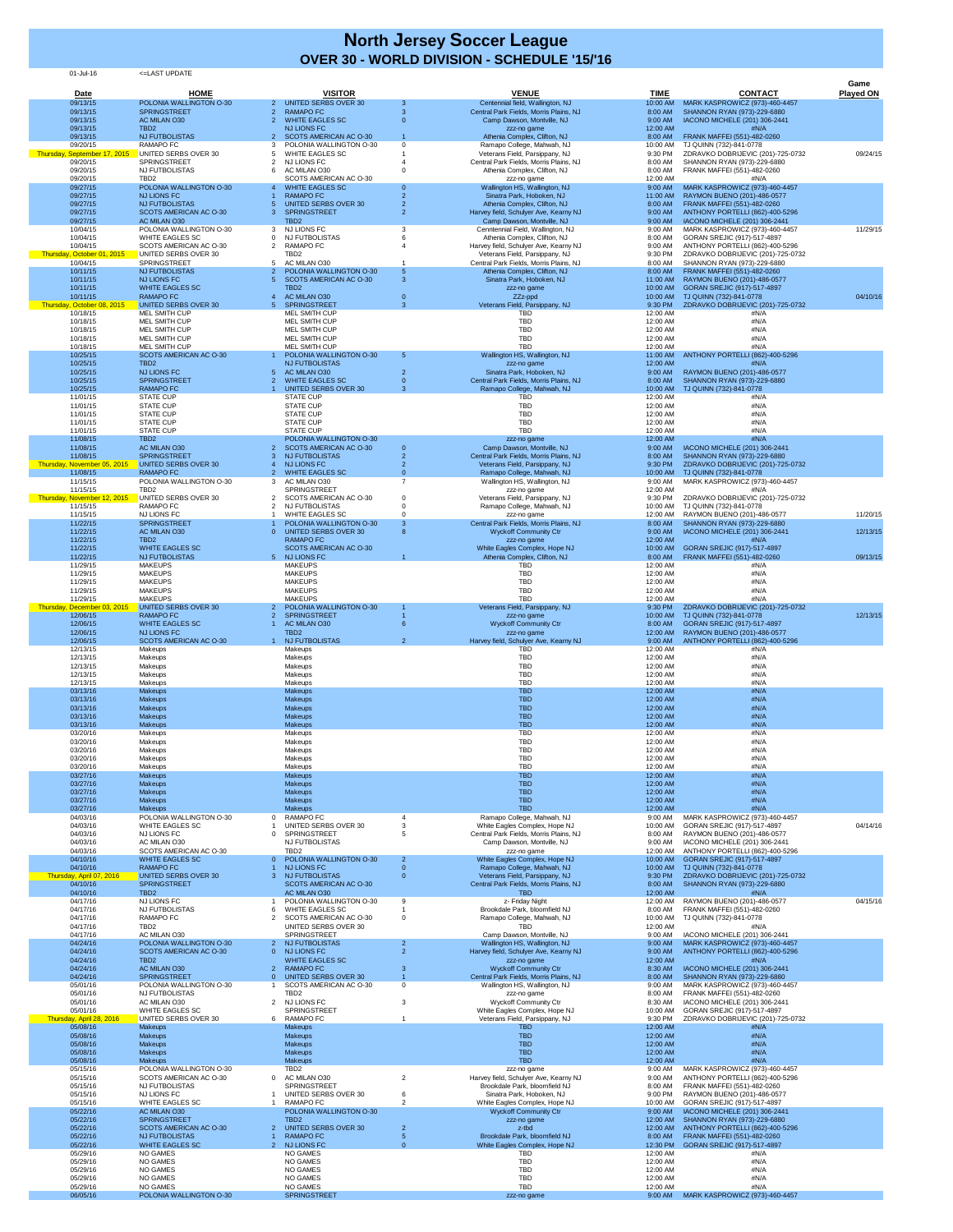| <b>Date</b>                              | <b>HOME</b>                                            |                                                              | <b>VISITOR</b>                                           |                      | <b>VENUE</b>                                                               | <b>TIME</b>                    | <b>CONTACT</b>                                                          | Game<br><b>Played ON</b> |
|------------------------------------------|--------------------------------------------------------|--------------------------------------------------------------|----------------------------------------------------------|----------------------|----------------------------------------------------------------------------|--------------------------------|-------------------------------------------------------------------------|--------------------------|
| 09/13/15<br>09/13/15                     | POLONIA WALLINGTON O-30<br><b>SPRINGSTREET</b>         | $\mathbf{2}$<br><b>RAMAPO FC</b>                             | <b>UNITED SERBS OVER 30</b>                              | -3<br>-3             | Centennial field, Wallington, NJ<br>Central Park Fields, Morris Plains, NJ | 10:00 AM<br>8:00 AM            | MARK KASPROWICZ (973)-460-4457<br>SHANNON RYAN (973)-229-6880           |                          |
| 09/13/15                                 | AC MILAN O30                                           | <b>WHITE EAGLES SC</b><br><b>NJ LIONS FC</b>                 |                                                          |                      | Camp Dawson, Montville, NJ                                                 | 9:00 AM                        | IACONO MICHELE (201) 306-2441                                           |                          |
| 09/13/15<br>09/13/15                     | TBD <sub>2</sub><br><b>NJ FUTBOLISTAS</b>              |                                                              | SCOTS AMERICAN AC O-30                                   |                      | zzz-no game<br>Athenia Complex, Clifton, NJ                                | 12:00 AM<br>8:00 AM            | #N/A<br>FRANK MAFFEI (551)-482-0260                                     |                          |
| 09/20/15<br>Thursday, September 17, 2015 | <b>RAMAPO FC</b><br>UNITED SERBS OVER 30               | <b>WHITE EAGLES SC</b>                                       | POLONIA WALLINGTON O-30                                  | $\Omega$             | Ramapo College, Mahwah, NJ<br>Veterans Field, Parsippany, NJ               | 10:00 AM<br>9:30 PM            | TJ QUINN (732)-841-0778<br>ZDRAVKO DOBRIJEVIC (201)-725-0732            | 09/24/15                 |
| 09/20/15<br>09/20/15                     | <b>SPRINGSTREET</b><br><b>NJ FUTBOLISTAS</b>           | NJ LIONS FC<br>AC MILAN O30                                  |                                                          |                      | Central Park Fields, Morris Plains, NJ<br>Athenia Complex, Clifton, NJ     | 8:00 AM<br>8:00 AM             | SHANNON RYAN (973)-229-6880<br>FRANK MAFFEI (551)-482-0260              |                          |
| 09/20/15<br>09/27/15                     | TBD <sub>2</sub><br>POLONIA WALLINGTON O-30            | <b>WHITE EAGLES SC</b>                                       | SCOTS AMERICAN AC O-30                                   | - റ                  | zzz-no game<br>Wallington HS, Wallington, NJ                               | 12:00 AM                       | #N/A<br>MARK KASPROWICZ (973)-460-4457                                  |                          |
| 09/27/15                                 | <b>NJ LIONS FC</b>                                     | <b>RAMAPO FC</b>                                             |                                                          |                      | Sinatra Park, Hoboken, NJ                                                  | 9:00 AM<br>11:00 AM            | RAYMON BUENO (201)-486-0577                                             |                          |
| 09/27/15<br>09/27/15                     | <b>NJ FUTBOLISTAS</b><br><b>SCOTS AMERICAN AC O-30</b> | <b>SPRINGSTREET</b><br>3                                     | <b>UNITED SERBS OVER 30</b>                              | 2                    | Athenia Complex, Clifton, NJ<br>Harvey field, Schulyer Ave, Kearny NJ      | 8:00 AM<br>9:00 AM             | FRANK MAFFEI (551)-482-0260<br>ANTHONY PORTELLI (862)-400-5296          |                          |
| 09/27/15<br>10/04/15                     | AC MILAN O30<br>POLONIA WALLINGTON O-30                | TBD <sub>2</sub><br><b>NJ LIONS FC</b>                       |                                                          |                      | Camp Dawson, Montville, NJ<br>Cenntennial Field, Wallington, NJ            | 9:00 AM<br>9:00 AM             | IACONO MICHELE (201) 306-2441<br>MARK KASPROWICZ (973)-460-4457         | 11/29/15                 |
| 10/04/15<br>10/04/15                     | <b>WHITE EAGLES SC</b><br>SCOTS AMERICAN AC O-30       | NJ FUTBOLISTAS<br><b>RAMAPO FC</b>                           |                                                          |                      | Athenia Complex, Clifton, NJ<br>Harvey field, Schulyer Ave, Kearny NJ      | 8:00 AM<br>9:00 AM             | GORAN SREJIC (917)-517-4897<br>ANTHONY PORTELLI (862)-400-5296          |                          |
| Thursday, October 01, 2015               | UNITED SERBS OVER 30                                   | TBD <sub>2</sub>                                             |                                                          |                      | Veterans Field, Parsippany, NJ                                             | 9:30 PM                        | ZDRAVKO DOBRIJEVIC (201)-725-0732                                       |                          |
| 10/04/15<br>10/11/15                     | <b>SPRINGSTREET</b><br><b>NJ FUTBOLISTAS</b>           | <b>AC MILAN O30</b>                                          | POLONIA WALLINGTON O-30                                  | $\sqrt{5}$           | Central Park Fields, Morris Plains, NJ<br>Athenia Complex, Clifton, NJ     | 8:00 AM<br>8:00 AM             | SHANNON RYAN (973)-229-6880<br>FRANK MAFFEI (551)-482-0260              |                          |
| 10/11/15<br>10/11/15                     | <b>NJ LIONS FC</b><br><b>WHITE EAGLES SC</b>           | TBD <sub>2</sub>                                             | SCOTS AMERICAN AC O-30                                   | 3                    | Sinatra Park, Hoboken, NJ<br>zzz-no game                                   | 11:00 AM<br>10:00 AM           | RAYMON BUENO (201)-486-0577<br>GORAN SREJIC (917)-517-4897              |                          |
| 10/11/15<br>Thursday, October 08, 2015   | <b>RAMAPO FC</b><br>UNITED SERBS OVER 30               | AC MILAN O30<br><b>SPRINGSTREET</b><br>5 <sup>1</sup>        |                                                          | -3                   | ZZz-ppd<br>Veterans Field, Parsippany, NJ                                  | 10:00 AM<br>9:30 PM            | TJ QUINN (732)-841-0778<br>ZDRAVKO DOBRIJEVIC (201)-725-0732            | 04/10/16                 |
| 10/18/15                                 | <b>MEL SMITH CUP</b>                                   | <b>MEL SMITH CUP</b>                                         |                                                          |                      | <b>TBD</b>                                                                 | 12:00 AM                       | #N/A                                                                    |                          |
| 10/18/15<br>10/18/15                     | <b>MEL SMITH CUP</b><br><b>MEL SMITH CUP</b>           | MEL SMITH CUP<br><b>MEL SMITH CUP</b>                        |                                                          |                      | <b>TBD</b><br><b>TBD</b>                                                   | 12:00 AM<br>12:00 AM           | #N/A<br>#N/A                                                            |                          |
| 10/18/15<br>10/18/15                     | MEL SMITH CUP<br>MEL SMITH CUP                         | <b>MEL SMITH CUP</b><br><b>MEL SMITH CUP</b>                 |                                                          |                      | <b>TBD</b><br><b>TBD</b>                                                   | 12:00 AM<br>12:00 AM           | #N/A<br>#N/A                                                            |                          |
| 10/25/15<br>10/25/15                     | <b>SCOTS AMERICAN AC O-30</b><br>TBD <sub>2</sub>      | <b>NJ FUTBOLISTAS</b>                                        | POLONIA WALLINGTON O-30                                  | -5                   | Wallington HS, Wallington, NJ<br>zzz-no game                               | 11:00 AM<br>12:00 AM           | ANTHONY PORTELLI (862)-400-5296<br>#N/A                                 |                          |
| 10/25/15                                 | <b>NJ LIONS FC</b>                                     | AC MILAN O30                                                 |                                                          |                      | Sinatra Park, Hoboken, NJ                                                  | 9:00 AM                        | RAYMON BUENO (201)-486-0577                                             |                          |
| 10/25/15<br>10/25/15                     | <b>SPRINGSTREET</b><br><b>RAMAPO FC</b>                | <b>WHITE EAGLES SC</b>                                       | <b>UNITED SERBS OVER 30</b>                              | $\Omega$<br>-3       | Central Park Fields, Morris Plains, NJ<br>Ramapo College, Mahwah, NJ       |                                | 8:00 AM SHANNON RYAN (973)-229-6880<br>10:00 AM TJ QUINN (732)-841-0778 |                          |
| 11/01/15<br>11/01/15                     | <b>STATE CUP</b><br><b>STATE CUP</b>                   | <b>STATE CUP</b><br><b>STATE CUP</b>                         |                                                          |                      | TBD<br><b>TBD</b>                                                          | 12:00 AM<br>12:00 AM           | #N/A<br>#N/A                                                            |                          |
| 11/01/15<br>11/01/15                     | <b>STATE CUP</b><br><b>STATE CUP</b>                   | <b>STATE CUP</b><br><b>STATE CUP</b>                         |                                                          |                      | <b>TBD</b><br><b>TBD</b>                                                   | 12:00 AM<br>12:00 AM           | #N/A<br>#N/A                                                            |                          |
| 11/01/15                                 | <b>STATE CUP</b>                                       | <b>STATE CUP</b>                                             |                                                          |                      | <b>TBD</b>                                                                 | 12:00 AM                       | #N/A                                                                    |                          |
| 11/08/15<br>11/08/15                     | TBD <sub>2</sub><br><b>AC MILAN O30</b>                |                                                              | POLONIA WALLINGTON O-30<br><b>SCOTS AMERICAN AC O-30</b> |                      | zzz-no game<br>Camp Dawson, Montville, NJ                                  | 12:00 AM<br>9:00 AM            | #N/A<br>IACONO MICHELE (201) 306-2441                                   |                          |
| 11/08/15<br>Thursday, November 05, 2015  | <b>SPRINGSTREET</b><br>UNITED SERBS OVER 30            | <b>NJ FUTBOLISTAS</b><br><b>NJ LIONS FC</b>                  |                                                          |                      | Central Park Fields, Morris Plains, NJ<br>Veterans Field, Parsippany, NJ   | 8:00 AM<br>9:30 PM             | SHANNON RYAN (973)-229-6880<br>ZDRAVKO DOBRIJEVIC (201)-725-0732        |                          |
| 11/08/15<br>11/15/15                     | <b>RAMAPO FC</b><br>POLONIA WALLINGTON O-30            | <b>WHITE EAGLES SC</b><br>2<br>AC MILAN O30<br>3             |                                                          |                      | Ramapo College, Mahwah, NJ<br>Wallington HS, Wallington, NJ                | 10:00 AM<br>9:00 AM            | TJ QUINN (732)-841-0778<br>MARK KASPROWICZ (973)-460-4457               |                          |
| 11/15/15                                 | TBD <sub>2</sub>                                       | <b>SPRINGSTREET</b>                                          |                                                          |                      | zzz-no game                                                                | 12:00 AM                       | #N/A                                                                    |                          |
| Thursday, November 12, 2015<br>11/15/15  | UNITED SERBS OVER 30<br><b>RAMAPO FC</b>               | <b>NJ FUTBOLISTAS</b>                                        | SCOTS AMERICAN AC O-30                                   |                      | Veterans Field, Parsippany, NJ<br>Ramapo College, Mahwah, NJ               | 9:30 PM<br>10:00 AM            | ZDRAVKO DOBRIJEVIC (201)-725-0732<br>TJ QUINN (732)-841-0778            |                          |
| 11/15/15<br>11/22/15                     | NJ LIONS FC<br><b>SPRINGSTREET</b>                     | <b>WHITE EAGLES SC</b>                                       | POLONIA WALLINGTON O-30                                  |                      | zzz-no game<br>Central Park Fields, Morris Plains, NJ                      | 12:00 AM<br>8:00 AM            | RAYMON BUENO (201)-486-0577<br>SHANNON RYAN (973)-229-6880              | 11/20/15                 |
| 11/22/15<br>11/22/15                     | AC MILAN O30<br>TBD <sub>2</sub>                       | $\Omega$<br><b>RAMAPO FC</b>                                 | <b>UNITED SERBS OVER 30</b>                              |                      | <b>Wyckoff Community Ctr</b><br>zzz-no game                                | 9:00 AM<br>12:00 AM            | IACONO MICHELE (201) 306-2441<br>#N/A                                   | 12/13/15                 |
| 11/22/15                                 | <b>WHITE EAGLES SC</b>                                 |                                                              | SCOTS AMERICAN AC O-30                                   |                      | White Eagles Complex, Hope NJ                                              | 10:00 AM                       | GORAN SREJIC (917)-517-4897                                             |                          |
| 11/22/15<br>11/29/15                     | <b>NJ FUTBOLISTAS</b><br><b>MAKEUPS</b>                | 5 NJ LIONS FC<br><b>MAKEUPS</b>                              |                                                          |                      | Athenia Complex, Clifton, NJ<br><b>TBD</b>                                 | 8:00 AM<br>12:00 AM            | FRANK MAFFEI (551)-482-0260<br>#N/A                                     | 09/13/15                 |
| 11/29/15<br>11/29/15                     | <b>MAKEUPS</b><br><b>MAKEUPS</b>                       | <b>MAKEUPS</b><br><b>MAKEUPS</b>                             |                                                          |                      | <b>TBD</b><br><b>TBD</b>                                                   | 12:00 AM<br>12:00 AM           | #N/A<br>#N/A                                                            |                          |
| 11/29/15<br>11/29/15                     | <b>MAKEUPS</b><br><b>MAKEUPS</b>                       | <b>MAKEUPS</b><br><b>MAKEUPS</b>                             |                                                          |                      | <b>TBD</b><br><b>TBD</b>                                                   | 12:00 AM<br>12:00 AM           | #N/A<br>#N/A                                                            |                          |
| Thursday, December 03, 2015              | UNITED SERBS OVER 30<br><b>RAMAPO FC</b>               | 2 <sup>1</sup><br><b>SPRINGSTREET</b>                        | POLONIA WALLINGTON O-30                                  |                      | Veterans Field, Parsippany, NJ                                             | 9:30 PM                        | ZDRAVKO DOBRIJEVIC (201)-725-0732                                       |                          |
| 12/06/15<br>12/06/15                     | <b>WHITE EAGLES SC</b>                                 | <b>AC MILAN O30</b>                                          |                                                          |                      | zzz-no game<br><b>Wyckoff Community Ctr</b>                                | 10:00 AM<br>8:00 AM            | TJ QUINN (732)-841-0778<br>GORAN SREJIC (917)-517-4897                  | 12/13/15                 |
| 12/06/15<br>12/06/15                     | <b>NJ LIONS FC</b><br>SCOTS AMERICAN AC O-30           | TBD <sub>2</sub><br><b>NJ FUTBOLISTAS</b>                    |                                                          | $\overline{2}$       | zzz-no game<br>Harvey field, Schulyer Ave, Kearny NJ                       | 12:00 AM<br>9:00 AM            | RAYMON BUENO (201)-486-0577<br>ANTHONY PORTELLI (862)-400-5296          |                          |
| 12/13/15<br>12/13/15                     | Makeups<br>Makeups                                     | Makeups<br>Makeups                                           |                                                          |                      | <b>TBD</b><br><b>TBD</b>                                                   | 12:00 AM<br>12:00 AM           | #N/A<br>#N/A                                                            |                          |
| 12/13/15<br>12/13/15                     | Makeups<br>Makeups                                     | Makeups<br>Makeups                                           |                                                          |                      | <b>TBD</b><br><b>TBD</b>                                                   | 12:00 AM<br>12:00 AM           | #N/A<br>#N/A                                                            |                          |
| 12/13/15                                 | Makeups                                                | Makeups                                                      |                                                          |                      | <b>TBD</b>                                                                 | 12:00 AM                       | #N/A                                                                    |                          |
| 03/13/16<br>03/13/16                     | <b>Makeups</b><br><b>Makeups</b>                       | Makeups<br><b>Makeups</b>                                    |                                                          |                      | <b>TBD</b><br><b>TBD</b>                                                   | 12:00 AM<br>12:00 AM           | #N/A<br>#N/A                                                            |                          |
| 03/13/16<br>03/13/16                     | <b>Makeups</b><br><b>Makeups</b>                       | <b>Makeups</b><br><b>Makeups</b>                             |                                                          |                      | <b>TBD</b><br><b>TBD</b>                                                   | 12:00 AM<br>12:00 AM           | #N/A<br>#N/A                                                            |                          |
| 03/13/16<br>03/20/16                     | <b>Makeups</b><br>Makeups                              | <b>Makeups</b><br>Makeups                                    |                                                          |                      | <b>TBD</b><br><b>TBD</b>                                                   | 12:00 AM<br>12:00 AM           | #N/A<br>#N/A                                                            |                          |
| 03/20/16                                 | Makeups                                                | Makeups                                                      |                                                          |                      | <b>TBD</b>                                                                 | 12:00 AM                       | #N/A                                                                    |                          |
| 03/20/16<br>03/20/16                     | Makeups<br>Makeups                                     | Makeups<br>Makeups                                           |                                                          |                      | <b>TBD</b><br><b>TBD</b>                                                   | 12:00 AM<br>12:00 AM           | #N/A<br>#N/A                                                            |                          |
| 03/20/16<br>03/27/16                     | Makeups<br><b>Makeups</b>                              | Makeups<br><b>Makeups</b>                                    |                                                          |                      | <b>TBD</b><br><b>TBD</b>                                                   | 12:00 AM<br>12:00 AM           | #N/A<br>#N/A                                                            |                          |
| 03/27/16<br>03/27/16                     | <b>Makeups</b><br><b>Makeups</b>                       | <b>Makeups</b><br><b>Makeups</b>                             |                                                          |                      | <b>TBD</b><br><b>TBD</b>                                                   | 12:00 AM<br>12:00 AM           | #N/A<br>#N/A                                                            |                          |
| 03/27/16                                 | <b>Makeups</b>                                         | <b>Makeups</b>                                               |                                                          |                      | <b>TBD</b>                                                                 | 12:00 AM                       | #N/A                                                                    |                          |
| 03/27/16<br>04/03/16                     | <b>Makeups</b><br>POLONIA WALLINGTON O-30              | <b>Makeups</b><br><b>RAMAPO FC</b>                           |                                                          |                      | <b>TBD</b><br>Ramapo College, Mahwah, NJ                                   | 12:00 AM<br>9:00 AM            | #N/A<br>MARK KASPROWICZ (973)-460-4457                                  |                          |
| 04/03/16<br>04/03/16                     | <b>WHITE EAGLES SC</b><br>NJ LIONS FC                  | <b>SPRINGSTREET</b><br>0                                     | UNITED SERBS OVER 30                                     |                      | White Eagles Complex, Hope NJ<br>Central Park Fields, Morris Plains, NJ    | 10:00 AM<br>8:00 AM            | GORAN SREJIC (917)-517-4897<br>RAYMON BUENO (201)-486-0577              | 04/14/16                 |
| 04/03/16<br>04/03/16                     | AC MILAN O30<br>SCOTS AMERICAN AC O-30                 | NJ FUTBOLISTAS<br>TBD <sub>2</sub>                           |                                                          |                      | Camp Dawson, Montville, NJ<br>zzz-no game                                  | 9:00 AM<br>12:00 AM            | IACONO MICHELE (201) 306-2441<br>ANTHONY PORTELLI (862)-400-5296        |                          |
| 04/10/16<br>04/10/16                     | <b>WHITE EAGLES SC</b><br><b>RAMAPO FC</b>             | $\overline{0}$<br><b>NJ LIONS FC</b>                         | POLONIA WALLINGTON O-30                                  | $\overline{2}$       | White Eagles Complex, Hope NJ                                              | 10:00 AM                       | GORAN SREJIC (917)-517-4897                                             |                          |
| Thursday, April 07, 2016                 | UNITED SERBS OVER 30                                   | <b>NJ FUTBOLISTAS</b>                                        |                                                          |                      | Ramapo College, Mahwah, NJ<br>Veterans Field, Parsippany, NJ               | 10:00 AM<br>9:30 PM            | TJ QUINN (732)-841-0778<br>ZDRAVKO DOBRIJEVIC (201)-725-0732            |                          |
| 04/10/16<br>04/10/16                     | <b>SPRINGSTREET</b><br>TBD <sub>2</sub>                | <b>AC MILAN O30</b>                                          | SCOTS AMERICAN AC O-30                                   |                      | Central Park Fields, Morris Plains, NJ<br><b>TBD</b>                       | 8:00 AM<br>12:00 AM            | SHANNON RYAN (973)-229-6880<br>#N/A                                     |                          |
| 04/17/16<br>04/17/16                     | NJ LIONS FC<br><b>NJ FUTBOLISTAS</b>                   | <b>WHITE EAGLES SC</b><br>6                                  | POLONIA WALLINGTON O-30                                  | -9                   | z- Friday Night<br>Brookdale Park, bloomfield NJ                           | 12:00 AM<br>8:00 AM            | RAYMON BUENO (201)-486-0577<br>FRANK MAFFEI (551)-482-0260              | 04/15/16                 |
| 04/17/16<br>04/17/16                     | <b>RAMAPO FC</b><br>TBD <sub>2</sub>                   | 2                                                            | SCOTS AMERICAN AC O-30<br>UNITED SERBS OVER 30           | $\Omega$             | Ramapo College, Mahwah, NJ<br><b>TBD</b>                                   | 10:00 AM<br>12:00 AM           | TJ QUINN (732)-841-0778<br>#N/A                                         |                          |
| 04/17/16                                 | AC MILAN O30                                           | <b>SPRINGSTREET</b>                                          |                                                          |                      | Camp Dawson, Montville, NJ                                                 | 9:00 AM                        | IACONO MICHELE (201) 306-2441                                           |                          |
| 04/24/16<br>04/24/16                     | POLONIA WALLINGTON O-30<br>SCOTS AMERICAN AC O-30      | <b>NJ FUTBOLISTAS</b><br>2 <sup>1</sup><br>NJ LIONS FC<br>0. |                                                          | $\overline{2}$       | Wallington HS, Wallington, NJ<br>Harvey field, Schulyer Ave, Kearny NJ     | 9:00 AM<br>9:00 AM             | MARK KASPROWICZ (973)-460-4457<br>ANTHONY PORTELLI (862)-400-5296       |                          |
| 04/24/16<br>04/24/16                     | TBD <sub>2</sub><br>AC MILAN O30                       | <b>WHITE EAGLES SC</b><br><b>RAMAPO FC</b>                   |                                                          |                      | zzz-no game<br><b>Wyckoff Community Ctr</b>                                | 12:00 AM<br>8:30 AM            | #N/A<br>IACONO MICHELE (201) 306-2441                                   |                          |
| 04/24/16<br>05/01/16                     | <b>SPRINGSTREET</b><br>POLONIA WALLINGTON O-30         |                                                              | <b>UNITED SERBS OVER 30</b><br>SCOTS AMERICAN AC O-30    | - 0                  | Central Park Fields, Morris Plains, NJ<br>Wallington HS, Wallington, NJ    | 8:00 AM<br>$9:00 \, \text{AM}$ | SHANNON RYAN (973)-229-6880<br>MARK KASPROWICZ (973)-460-4457           |                          |
| 05/01/16                                 | <b>NJ FUTBOLISTAS</b>                                  | TBD <sub>2</sub>                                             |                                                          |                      | zzz-no game                                                                | 8:00 AM                        | FRANK MAFFEI (551)-482-0260                                             |                          |
| 05/01/16<br>05/01/16                     | AC MILAN O30<br><b>WHITE EAGLES SC</b>                 | 2 NJ LIONS FC<br><b>SPRINGSTREET</b>                         |                                                          | -3                   | <b>Wyckoff Community Ctr</b><br>White Eagles Complex, Hope NJ              | 8:30 AM<br>10:00 AM            | IACONO MICHELE (201) 306-2441<br>GORAN SREJIC (917)-517-4897            |                          |
| Thursday, April 28, 2016<br>05/08/16     | UNITED SERBS OVER 30<br><b>Makeups</b>                 | <b>RAMAPO FC</b><br>6.<br><b>Makeups</b>                     |                                                          |                      | Veterans Field, Parsippany, NJ<br><b>TBD</b>                               | 9:30 PM<br>12:00 AM            | ZDRAVKO DOBRIJEVIC (201)-725-0732<br>#N/A                               |                          |
| 05/08/16<br>05/08/16                     | <b>Makeups</b><br><b>Makeups</b>                       | <b>Makeups</b><br><b>Makeups</b>                             |                                                          |                      | <b>TBD</b><br><b>TBD</b>                                                   | 12:00 AM<br>12:00 AM           | #N/A<br>#N/A                                                            |                          |
| 05/08/16                                 | <b>Makeups</b>                                         | <b>Makeups</b>                                               |                                                          |                      | <b>TBD</b>                                                                 | 12:00 AM                       | #N/A                                                                    |                          |
| 05/08/16<br>05/15/16                     | <b>Makeups</b><br>POLONIA WALLINGTON O-30              | <b>Makeups</b><br>TBD <sub>2</sub>                           |                                                          |                      | <b>TBD</b><br>zzz-no game                                                  | 12:00 AM<br>9:00 AM            | #N/A<br>MARK KASPROWICZ (973)-460-4457                                  |                          |
| 05/15/16<br>05/15/16                     | SCOTS AMERICAN AC O-30<br><b>NJ FUTBOLISTAS</b>        | 0 AC MILAN O30<br><b>SPRINGSTREET</b>                        |                                                          | $\overline{2}$       | Harvey field, Schulyer Ave, Kearny NJ<br>Brookdale Park, bloomfield NJ     | 9:00 AM<br>8:00 AM             | ANTHONY PORTELLI (862)-400-5296<br>FRANK MAFFEI (551)-482-0260          |                          |
| 05/15/16<br>05/15/16                     | <b>NJ LIONS FC</b><br><b>WHITE EAGLES SC</b>           | <b>RAMAPO FC</b>                                             | UNITED SERBS OVER 30                                     | -6<br>$\overline{2}$ | Sinatra Park, Hoboken, NJ<br>White Eagles Complex, Hope NJ                 | 9:00 PM<br>10:00 AM            | RAYMON BUENO (201)-486-0577<br>GORAN SREJIC (917)-517-4897              |                          |
| 05/22/16                                 | AC MILAN O30                                           |                                                              | POLONIA WALLINGTON O-30                                  |                      | <b>Wyckoff Community Ctr</b>                                               | 9:00 AM                        | IACONO MICHELE (201) 306-2441                                           |                          |
| 05/22/16<br>05/22/16                     | <b>SPRINGSTREET</b><br><b>SCOTS AMERICAN AC O-30</b>   | TBD <sub>2</sub>                                             | <b>UNITED SERBS OVER 30</b>                              | $\overline{2}$       | zzz-no game<br>z-tbd                                                       | 12:00 AM<br>12:00 AM           | SHANNON RYAN (973)-229-6880<br>ANTHONY PORTELLI (862)-400-5296          |                          |
| 05/22/16<br>05/22/16                     | <b>NJ FUTBOLISTAS</b><br><b>WHITE EAGLES SC</b>        | <b>RAMAPO FC</b><br>2 NJ LIONS FC                            |                                                          | $\Omega$             | Brookdale Park, bloomfield NJ<br>White Eagles Complex, Hope NJ             | 8:00 AM<br>12:30 PM            | FRANK MAFFEI (551)-482-0260<br>GORAN SREJIC (917)-517-4897              |                          |
| 05/29/16<br>05/29/16                     | <b>NO GAMES</b><br><b>NO GAMES</b>                     | NO GAMES<br><b>NO GAMES</b>                                  |                                                          |                      | TBD<br><b>TBD</b>                                                          | 12:00 AM<br>12:00 AM           | #N/A<br>#N/A                                                            |                          |
| 05/29/16                                 | <b>NO GAMES</b><br><b>NO GAMES</b>                     | NO GAMES<br><b>NO GAMES</b>                                  |                                                          |                      | <b>TBD</b>                                                                 | 12:00 AM                       | #N/A                                                                    |                          |
| 05/29/16<br>05/29/16                     | <b>NO GAMES</b>                                        | NO GAMES                                                     |                                                          |                      | <b>TBD</b><br><b>TBD</b>                                                   | 12:00 AM<br>12:00 AM           | #N/A<br>#N/A                                                            |                          |
| 06/05/16                                 | POLONIA WALLINGTON O-30                                | <b>SPRINGSTREET</b>                                          |                                                          |                      | zzz-no game                                                                | 9:00 AM                        | MARK KASPROWICZ (973)-460-4457                                          |                          |

## **North Jersey Soccer League OVER 30 - WORLD DIVISION - SCHEDULE '15/'16**

01-Jul-16 <=LAST UPDATE